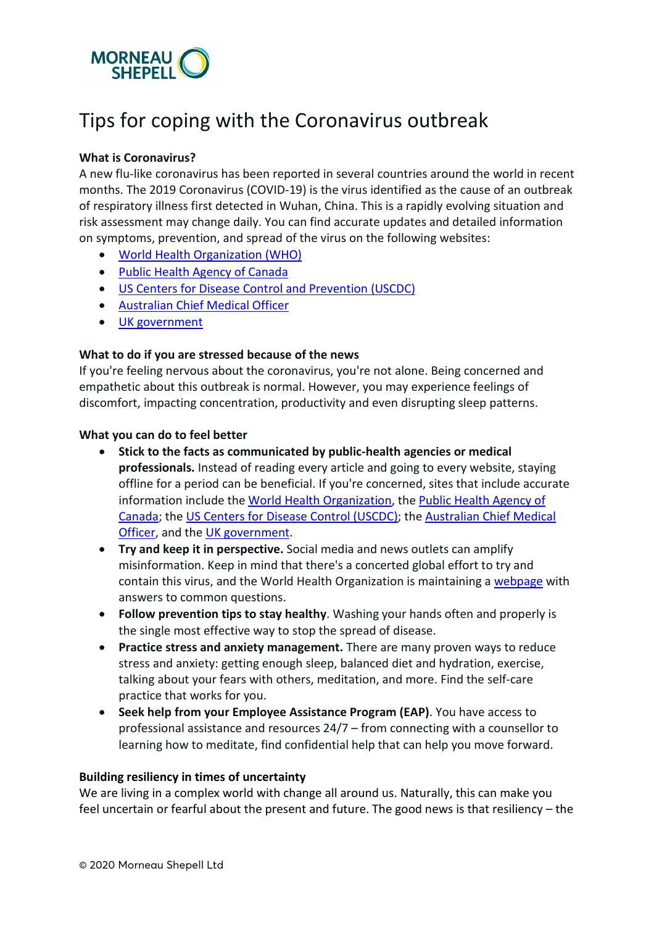

## Tips for coping with the Coronavirus outbreak

### **What is Coronavirus?**

A new flu-like coronavirus has been reported in several countries around the world in recent months. The 2019 Coronavirus (COVID-19) is the virus identified as the cause of an outbreak of respiratory illness first detected in Wuhan, China. This is a rapidly evolving situation and risk assessment may change daily. You can find accurate updates and detailed information on symptoms, prevention, and spread of the virus on the following websites:

- [World Health Organization \(WHO\)](https://www.who.int/emergencies/diseases/novel-coronavirus-2019)
- [Public Health Agency of Canada](https://travel.gc.ca/travelling/advisories/pneumonia-china)
- [US Centers for Disease Control](https://www.cdc.gov/coronavirus/index.html) and Prevention (USCDC)
- [Australian Chief Medical Officer](https://www.health.gov.au/information-about-novel-coronavirus)
- [UK government](https://www.gov.uk/government/collections/wuhan-novel-coronavirus#guidance)

#### **What to do if you are stressed because of the news**

If you're feeling nervous about the coronavirus, you're not alone. Being concerned and empathetic about this outbreak is normal. However, you may experience feelings of discomfort, impacting concentration, productivity and even disrupting sleep patterns.

#### **What you can do to feel better**

- **Stick to the facts as communicated by public-health agencies or medical professionals.** Instead of reading every article and going to every website, staying offline for a period can be beneficial. If you're concerned, sites that include accurate information include the [World Health Organization,](https://www.who.int/) the [Public Health Agency of](https://travel.gc.ca/travelling/advisories/pneumonia-china)  [Canada;](https://travel.gc.ca/travelling/advisories/pneumonia-china) the US Centers [for Disease Control \(USCDC\);](https://www.cdc.gov/coronavirus/index.html) the [Australian Chief Medical](https://www.health.gov.au/information-about-novel-coronavirus)  [Officer,](https://www.health.gov.au/information-about-novel-coronavirus) and the [UK government.](https://www.gov.uk/government/collections/wuhan-novel-coronavirus#guidance)
- **Try and keep it in perspective.** Social media and news outlets can amplify misinformation. Keep in mind that there's a concerted global effort to try and contain this virus, and the World Health Organization is maintaining a [webpage](https://www.who.int/emergencies/diseases/novel-coronavirus-2019/advice-for-public/myth-busters) with answers to common questions.
- **Follow prevention tips to stay healthy**. Washing your hands often and properly is the single most effective way to stop the spread of disease.
- **Practice stress and anxiety management.** There are many proven ways to reduce stress and anxiety: getting enough sleep, balanced diet and hydration, exercise, talking about your fears with others, meditation, and more. Find the self-care practice that works for you.
- **Seek help from your Employee Assistance Program (EAP)**. You have access to professional assistance and resources 24/7 – from connecting with a counsellor to learning how to meditate, find confidential help that can help you move forward.

#### **Building resiliency in times of uncertainty**

We are living in a complex world with change all around us. Naturally, this can make you feel uncertain or fearful about the present and future. The good news is that resiliency – the